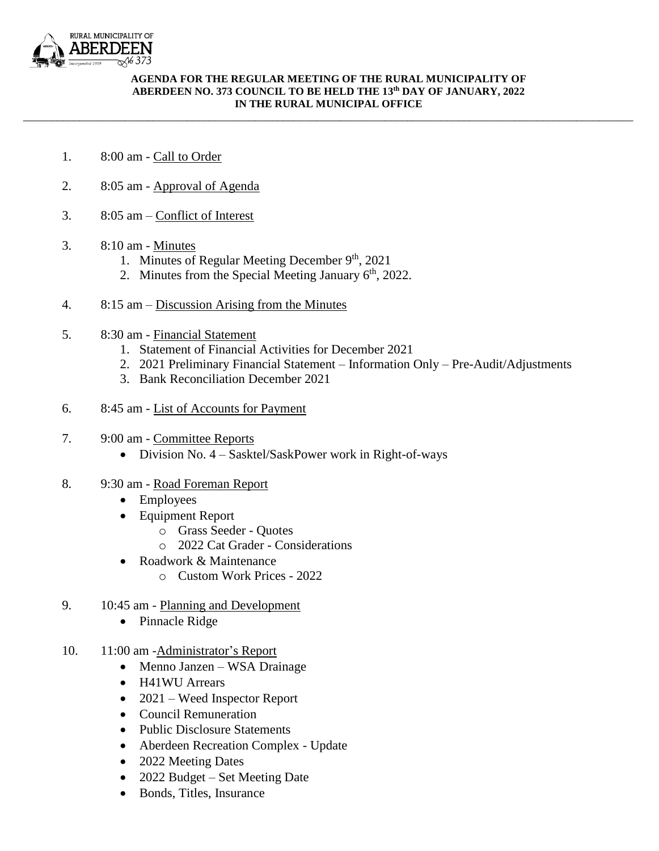

## **AGENDA FOR THE REGULAR MEETING OF THE RURAL MUNICIPALITY OF ABERDEEN NO. 373 COUNCIL TO BE HELD THE 13th DAY OF JANUARY, 2022 IN THE RURAL MUNICIPAL OFFICE**

\_\_\_\_\_\_\_\_\_\_\_\_\_\_\_\_\_\_\_\_\_\_\_\_\_\_\_\_\_\_\_\_\_\_\_\_\_\_\_\_\_\_\_\_\_\_\_\_\_\_\_\_\_\_\_\_\_\_\_\_\_\_\_\_\_\_\_\_\_\_\_\_\_\_\_\_\_\_\_\_\_\_\_\_\_\_\_\_\_\_\_\_\_\_\_\_\_\_\_\_\_\_\_\_\_\_\_\_

- 1. 8:00 am Call to Order
- 2. 8:05 am Approval of Agenda
- 3. 8:05 am Conflict of Interest
- 3. 8:10 am Minutes
	- 1. Minutes of Regular Meeting December 9<sup>th</sup>, 2021
	- 2. Minutes from the Special Meeting January  $6<sup>th</sup>$ , 2022.
- 4. 8:15 am Discussion Arising from the Minutes
- 5. 8:30 am Financial Statement
	- 1. Statement of Financial Activities for December 2021
	- 2. 2021 Preliminary Financial Statement Information Only Pre-Audit/Adjustments
	- 3. Bank Reconciliation December 2021
- 6. 8:45 am List of Accounts for Payment
- 7. 9:00 am Committee Reports
	- Division No.  $4 S$ asktel/SaskPower work in Right-of-ways
- 8. 9:30 am Road Foreman Report
	- Employees
	- Equipment Report
		- o Grass Seeder Quotes
		- o 2022 Cat Grader Considerations
	- Roadwork & Maintenance
		- o Custom Work Prices 2022
- 9. 10:45 am Planning and Development
	- Pinnacle Ridge
- 10. 11:00 am -Administrator's Report
	- Menno Janzen WSA Drainage
	- H41WU Arrears
	- 2021 Weed Inspector Report
	- Council Remuneration
	- Public Disclosure Statements
	- Aberdeen Recreation Complex Update
	- 2022 Meeting Dates
	- 2022 Budget Set Meeting Date
	- Bonds, Titles, Insurance